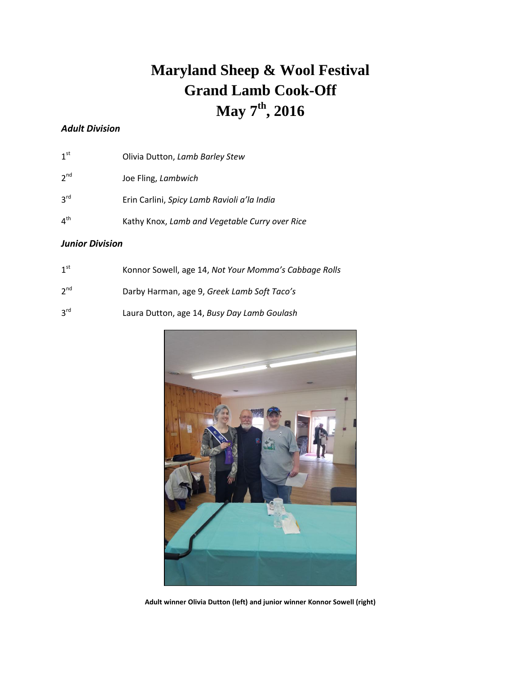# **Maryland Sheep & Wool Festival Grand Lamb Cook-Off May 7 th , 2016**

### *Adult Division*

| 1 <sup>st</sup> | Olivia Dutton, Lamb Barley Stew                |
|-----------------|------------------------------------------------|
| 2 <sup>nd</sup> | Joe Fling, Lambwich                            |
| $3^{\text{rd}}$ | Erin Carlini, Spicy Lamb Ravioli a'la India    |
| 4 <sup>th</sup> | Kathy Knox, Lamb and Vegetable Curry over Rice |

#### *Junior Division*

| 1 <sup>st</sup> | Konnor Sowell, age 14, Not Your Momma's Cabbage Rolls |
|-----------------|-------------------------------------------------------|
| 2 <sup>nd</sup> | Darby Harman, age 9, Greek Lamb Soft Taco's           |
| 3 <sup>rd</sup> | Laura Dutton, age 14, Busy Day Lamb Goulash           |



**Adult winner Olivia Dutton (left) and junior winner Konnor Sowell (right)**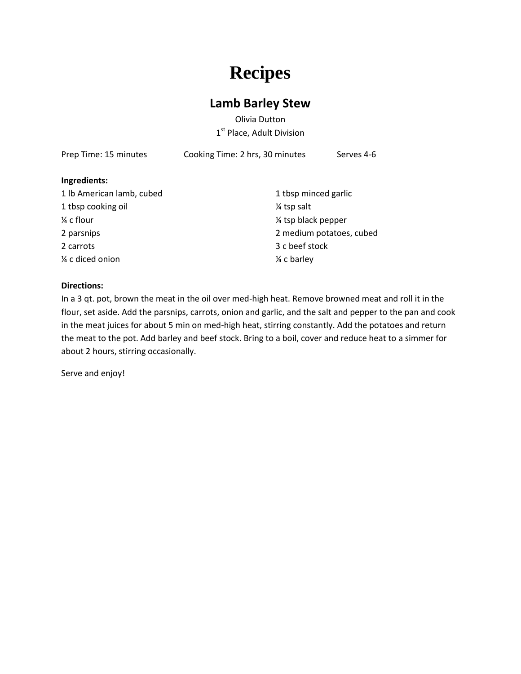# **Recipes**

### **Lamb Barley Stew**

Olivia Dutton 1<sup>st</sup> Place, Adult Division

| Prep Time: 15 minutes     | Cooking Time: 2 hrs, 30 minutes | Serves 4-6               |  |
|---------------------------|---------------------------------|--------------------------|--|
| Ingredients:              |                                 |                          |  |
| 1 lb American lamb, cubed |                                 | 1 tbsp minced garlic     |  |
| 1 tbsp cooking oil        | 1/4 tsp salt                    |                          |  |
| ¼ c flour                 | 1/4 tsp black pepper            |                          |  |
| 2 parsnips                |                                 | 2 medium potatoes, cubed |  |
| 2 carrots                 | 3 c beef stock                  |                          |  |
| ¼ c diced onion           | 1/4 c barley                    |                          |  |
|                           |                                 |                          |  |

#### **Directions:**

In a 3 qt. pot, brown the meat in the oil over med-high heat. Remove browned meat and roll it in the flour, set aside. Add the parsnips, carrots, onion and garlic, and the salt and pepper to the pan and cook in the meat juices for about 5 min on med-high heat, stirring constantly. Add the potatoes and return the meat to the pot. Add barley and beef stock. Bring to a boil, cover and reduce heat to a simmer for about 2 hours, stirring occasionally.

Serve and enjoy!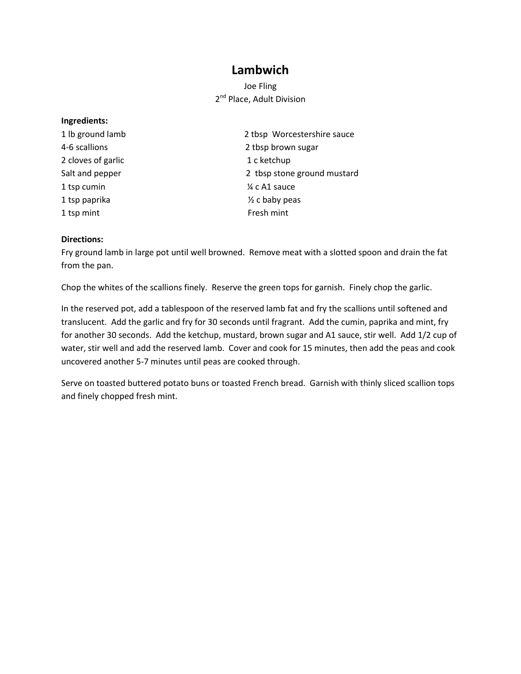### **Lambwich**

### Joe Fling 2<sup>nd</sup> Place, Adult Division

#### **Ingredients:**

- 2 cloves of garlic 2 cloves of garlic 2 cloves of garlic 1 c ketchup 1 tsp cumin  $\frac{1}{4}$  c A1 sauce 1 tsp paprika ½ c baby peas 1 tsp mint Fresh mint
- 1 lb ground lamb 2 tbsp Worcestershire sauce 4-6 scallions 2 tbsp brown sugar Salt and pepper 2 tbsp stone ground mustard

#### **Directions:**

Fry ground lamb in large pot until well browned. Remove meat with a slotted spoon and drain the fat from the pan.

Chop the whites of the scallions finely. Reserve the green tops for garnish. Finely chop the garlic.

In the reserved pot, add a tablespoon of the reserved lamb fat and fry the scallions until softened and translucent. Add the garlic and fry for 30 seconds until fragrant. Add the cumin, paprika and mint, fry for another 30 seconds. Add the ketchup, mustard, brown sugar and A1 sauce, stir well. Add 1/2 cup of water, stir well and add the reserved lamb. Cover and cook for 15 minutes, then add the peas and cook uncovered another 5-7 minutes until peas are cooked through.

Serve on toasted buttered potato buns or toasted French bread. Garnish with thinly sliced scallion tops and finely chopped fresh mint.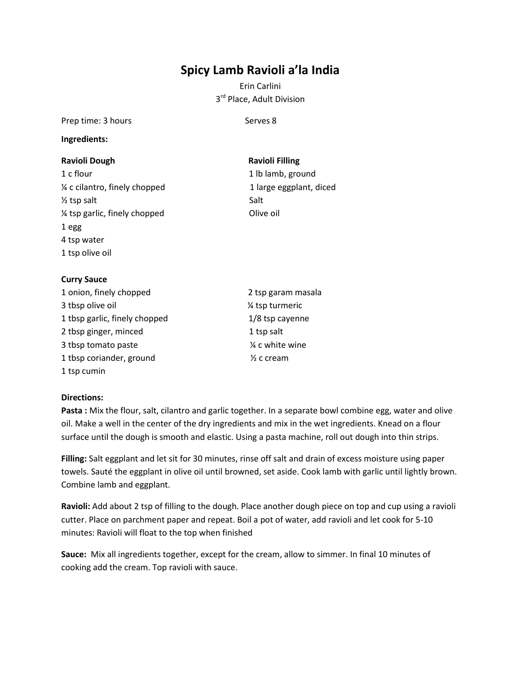## **Spicy Lamb Ravioli a'la India**

Erin Carlini 3<sup>rd</sup> Place, Adult Division

Prep time: 3 hours Serves 8

#### **Ingredients:**

#### **Ravioli Dough Ravioli Filling**

1 c flour 1 c flour 1 lb lamb, ground ¼ c cilantro, finely chopped 1 large eggplant, diced  $\frac{1}{2}$  tsp salt Salt ¼ tsp garlic, finely chopped Olive oil 1 egg 4 tsp water 1 tsp olive oil

#### **Curry Sauce**

- 1 onion, finely chopped 2 tsp garam masala 3 tbsp olive oil  $\frac{1}{4}$  tsp turmeric 1 tbsp garlic, finely chopped 1/8 tsp cayenne 2 tbsp ginger, minced 1 tsp salt 3 tbsp tomato paste  $\frac{1}{2}$  as  $\frac{1}{2}$  as  $\frac{1}{2}$  as  $\frac{1}{2}$  as  $\frac{1}{2}$  c white wine 1 tbsp coriander, ground  $\frac{1}{2}$  c cream 1 tsp cumin
	-

#### **Directions:**

**Pasta :** Mix the flour, salt, cilantro and garlic together. In a separate bowl combine egg, water and olive oil. Make a well in the center of the dry ingredients and mix in the wet ingredients. Knead on a flour surface until the dough is smooth and elastic. Using a pasta machine, roll out dough into thin strips.

**Filling:** Salt eggplant and let sit for 30 minutes, rinse off salt and drain of excess moisture using paper towels. Sauté the eggplant in olive oil until browned, set aside. Cook lamb with garlic until lightly brown. Combine lamb and eggplant.

**Ravioli:** Add about 2 tsp of filling to the dough. Place another dough piece on top and cup using a ravioli cutter. Place on parchment paper and repeat. Boil a pot of water, add ravioli and let cook for 5-10 minutes: Ravioli will float to the top when finished

**Sauce:** Mix all ingredients together, except for the cream, allow to simmer. In final 10 minutes of cooking add the cream. Top ravioli with sauce.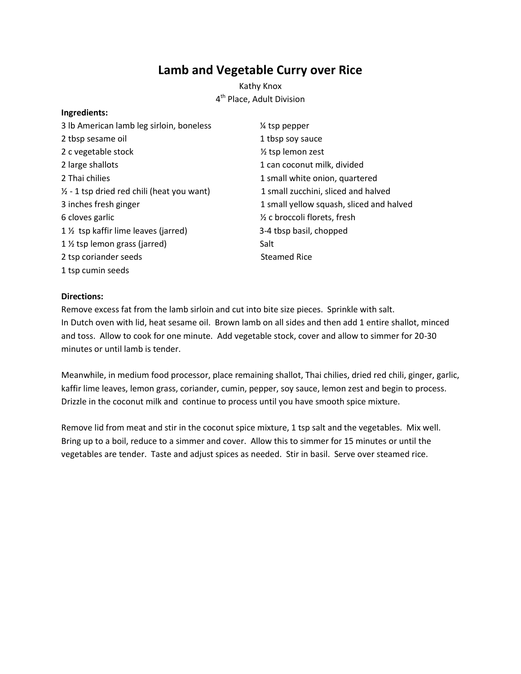## **Lamb and Vegetable Curry over Rice**

Kathy Knox 4<sup>th</sup> Place, Adult Division

#### **Ingredients:**

| 3 lb American lamb leg sirloin, boneless              | % tsp pepper                             |
|-------------------------------------------------------|------------------------------------------|
| 2 tbsp sesame oil                                     | 1 tbsp soy sauce                         |
| 2 c vegetable stock                                   | $\frac{1}{2}$ tsp lemon zest             |
| 2 large shallots                                      | 1 can coconut milk, divided              |
| 2 Thai chilies                                        | 1 small white onion, quartered           |
| $\frac{1}{2}$ - 1 tsp dried red chili (heat you want) | 1 small zucchini, sliced and halved      |
| 3 inches fresh ginger                                 | 1 small yellow squash, sliced and halved |
| 6 cloves garlic                                       | 1/2 c broccoli florets, fresh            |
| 1 1/2 tsp kaffir lime leaves (jarred)                 | 3-4 tbsp basil, chopped                  |
| 1 1/2 tsp lemon grass (jarred)                        | Salt                                     |
| 2 tsp coriander seeds                                 | <b>Steamed Rice</b>                      |
| 1 tsp cumin seeds                                     |                                          |

#### **Directions:**

Remove excess fat from the lamb sirloin and cut into bite size pieces. Sprinkle with salt. In Dutch oven with lid, heat sesame oil. Brown lamb on all sides and then add 1 entire shallot, minced and toss. Allow to cook for one minute. Add vegetable stock, cover and allow to simmer for 20-30 minutes or until lamb is tender.

Meanwhile, in medium food processor, place remaining shallot, Thai chilies, dried red chili, ginger, garlic, kaffir lime leaves, lemon grass, coriander, cumin, pepper, soy sauce, lemon zest and begin to process. Drizzle in the coconut milk and continue to process until you have smooth spice mixture.

Remove lid from meat and stir in the coconut spice mixture, 1 tsp salt and the vegetables. Mix well. Bring up to a boil, reduce to a simmer and cover. Allow this to simmer for 15 minutes or until the vegetables are tender. Taste and adjust spices as needed. Stir in basil. Serve over steamed rice.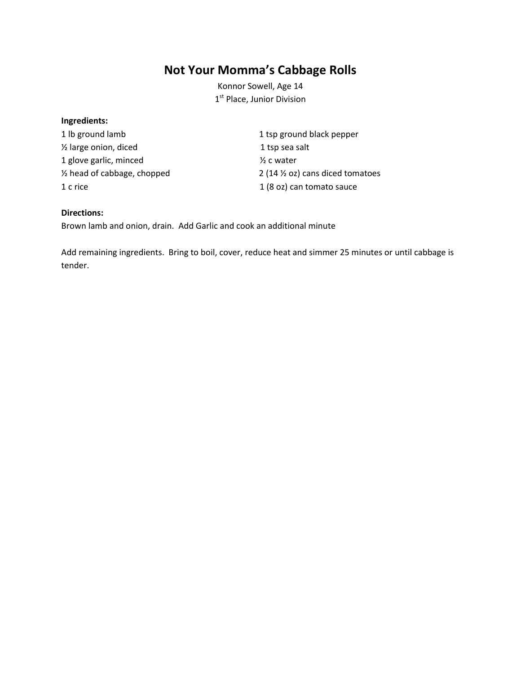## **Not Your Momma's Cabbage Rolls**

Konnor Sowell, Age 14 1<sup>st</sup> Place, Junior Division

#### **Ingredients:**

1 lb ground lamb 1 tsp ground black pepper <sup>1/2</sup> large onion, diced 1 tsp sea salt 1 glove garlic, minced  $\frac{1}{2}$  c water

½ head of cabbage, chopped 2 (14 ½ oz) cans diced tomatoes 1 c rice 1 c rice 1 (8 oz) can tomato sauce

#### **Directions:**

Brown lamb and onion, drain. Add Garlic and cook an additional minute

Add remaining ingredients. Bring to boil, cover, reduce heat and simmer 25 minutes or until cabbage is tender.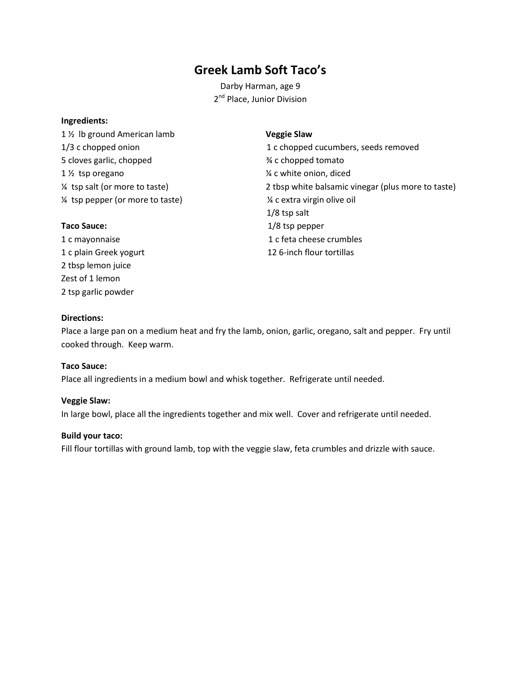## **Greek Lamb Soft Taco's**

Darby Harman, age 9 2<sup>nd</sup> Place, Junior Division

#### **Ingredients:**

1 ½ lb ground American lamb **Veggie Slaw** 5 cloves garlic, chopped ¾ c chopped tomato 1 <sup>1</sup>/<sub>2</sub> tsp oregano 1 2 and 1 2 and 1 2 and 1 3 and 1 3 and 1 3 and 1 3 and 1 3 and 1 3 and 1 3 and 1 3 and 1  $\frac{1}{2}$  c white onion, diced ¼ tsp pepper (or more to taste) ¼ c extra virgin olive oil

1/3 c chopped onion 1 c chopped cucumbers, seeds removed ¼ tsp salt (or more to taste) 2 tbsp white balsamic vinegar (plus more to taste) 1/8 tsp salt Taco Sauce:  $1/8$  tsp pepper 1 c mayonnaise 1 c feta cheese crumbles 1 c plain Greek yogurt 12 6-inch flour tortillas

2 tbsp lemon juice Zest of 1 lemon 2 tsp garlic powder

#### **Directions:**

Place a large pan on a medium heat and fry the lamb, onion, garlic, oregano, salt and pepper. Fry until cooked through. Keep warm.

#### **Taco Sauce:**

Place all ingredients in a medium bowl and whisk together. Refrigerate until needed.

#### **Veggie Slaw:**

In large bowl, place all the ingredients together and mix well. Cover and refrigerate until needed.

#### **Build your taco:**

Fill flour tortillas with ground lamb, top with the veggie slaw, feta crumbles and drizzle with sauce.